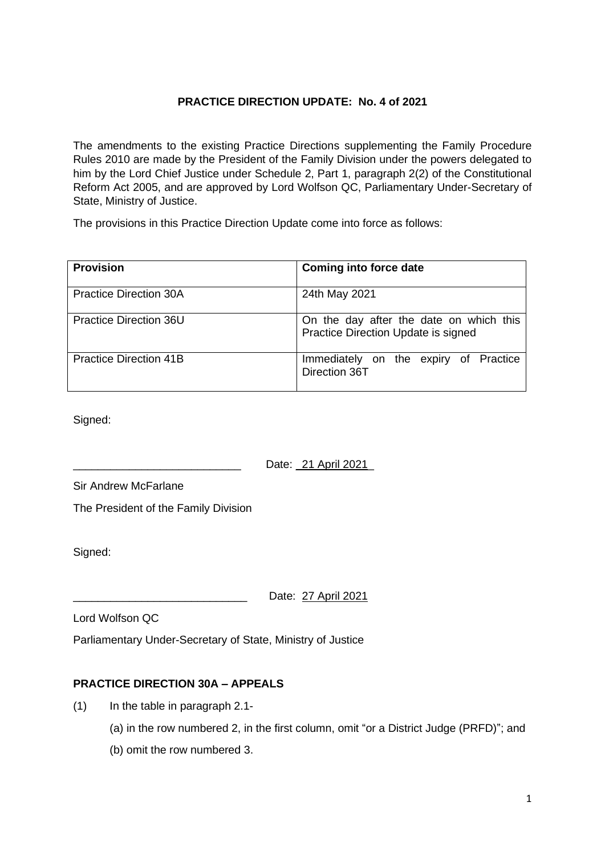## **PRACTICE DIRECTION UPDATE: No. 4 of 2021**

The amendments to the existing Practice Directions supplementing the Family Procedure Rules 2010 are made by the President of the Family Division under the powers delegated to him by the Lord Chief Justice under Schedule 2, Part 1, paragraph 2(2) of the Constitutional Reform Act 2005, and are approved by Lord Wolfson QC, Parliamentary Under-Secretary of State, Ministry of Justice.

The provisions in this Practice Direction Update come into force as follows:

| <b>Provision</b>              | <b>Coming into force date</b>                                                  |
|-------------------------------|--------------------------------------------------------------------------------|
| <b>Practice Direction 30A</b> | 24th May 2021                                                                  |
| Practice Direction 36U        | On the day after the date on which this<br>Practice Direction Update is signed |
| Practice Direction 41B        | Immediately on the expiry of Practice<br>Direction 36T                         |

Signed:

Date: \_21 April 2021\_

Sir Andrew McFarlane

The President of the Family Division

Signed:

Date: 27 April 2021

Lord Wolfson QC

Parliamentary Under-Secretary of State, Ministry of Justice

## **PRACTICE DIRECTION 30A – APPEALS**

- (1) In the table in paragraph 2.1-
	- (a) in the row numbered 2, in the first column, omit "or a District Judge (PRFD)"; and
	- (b) omit the row numbered 3.